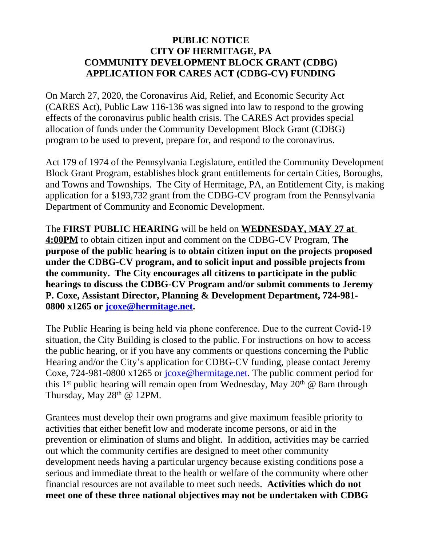## **PUBLIC NOTICE CITY OF HERMITAGE, PA COMMUNITY DEVELOPMENT BLOCK GRANT (CDBG) APPLICATION FOR CARES ACT (CDBG-CV) FUNDING**

On March 27, 2020, the Coronavirus Aid, Relief, and Economic Security Act (CARES Act), Public Law 116-136 was signed into law to respond to the growing effects of the coronavirus public health crisis. The CARES Act provides special allocation of funds under the Community Development Block Grant (CDBG) program to be used to prevent, prepare for, and respond to the coronavirus.

Act 179 of 1974 of the Pennsylvania Legislature, entitled the Community Development Block Grant Program, establishes block grant entitlements for certain Cities, Boroughs, and Towns and Townships. The City of Hermitage, PA, an Entitlement City, is making application for a \$193,732 grant from the CDBG-CV program from the Pennsylvania Department of Community and Economic Development.

The **FIRST PUBLIC HEARING** will be held on **WEDNESDAY, MAY 27 at 4:00PM** to obtain citizen input and comment on the CDBG-CV Program, **The purpose of the public hearing is to obtain citizen input on the projects proposed under the CDBG-CV program, and to solicit input and possible projects from the community. The City encourages all citizens to participate in the public hearings to discuss the CDBG-CV Program and/or submit comments to Jeremy P. Coxe, Assistant Director, Planning & Development Department, 724-981- 0800 x1265 or [jcoxe@hermitage.net.](mailto:jcoxe@hermitage.net)**

The Public Hearing is being held via phone conference. Due to the current Covid-19 situation, the City Building is closed to the public. For instructions on how to access the public hearing, or if you have any comments or questions concerning the Public Hearing and/or the City's application for CDBG-CV funding, please contact Jeremy Coxe, 724-981-0800 x1265 or [jcoxe@hermitage.net](mailto:jcoxe@hermitage.net). The public comment period for this 1<sup>st</sup> public hearing will remain open from Wednesday, May 20<sup>th</sup>  $\omega$  8am through Thursday, May 28<sup>th</sup> @ 12PM.

Grantees must develop their own programs and give maximum feasible priority to activities that either benefit low and moderate income persons, or aid in the prevention or elimination of slums and blight. In addition, activities may be carried out which the community certifies are designed to meet other community development needs having a particular urgency because existing conditions pose a serious and immediate threat to the health or welfare of the community where other financial resources are not available to meet such needs. **Activities which do not meet one of these three national objectives may not be undertaken with CDBG**